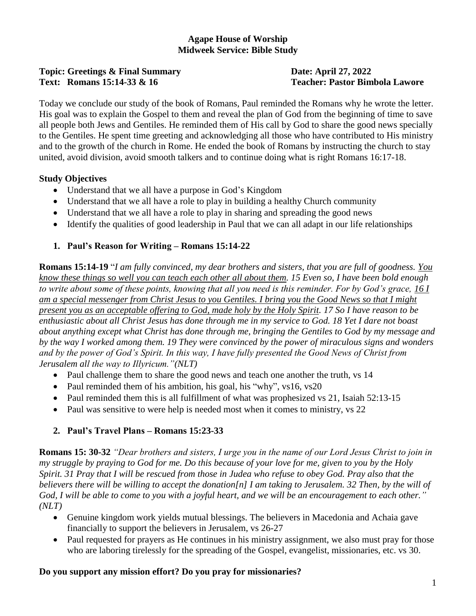## **Agape House of Worship Midweek Service: Bible Study**

#### **Topic: Greetings & Final Summary <b>Date: April 27, 2022 Text: Romans 15:14-33 & 16 Teacher: Pastor Bimbola Lawore**

Today we conclude our study of the book of Romans, Paul reminded the Romans why he wrote the letter. His goal was to explain the Gospel to them and reveal the plan of God from the beginning of time to save all people both Jews and Gentiles. He reminded them of His call by God to share the good news specially to the Gentiles. He spent time greeting and acknowledging all those who have contributed to His ministry and to the growth of the church in Rome. He ended the book of Romans by instructing the church to stay united, avoid division, avoid smooth talkers and to continue doing what is right Romans 16:17-18.

## **Study Objectives**

- Understand that we all have a purpose in God's Kingdom
- Understand that we all have a role to play in building a healthy Church community
- Understand that we all have a role to play in sharing and spreading the good news
- Identify the qualities of good leadership in Paul that we can all adapt in our life relationships

# **1. Paul's Reason for Writing – Romans 15:14-22**

**Romans 15:14-19** "*I am fully convinced, my dear brothers and sisters, that you are full of goodness. You know these things so well you can teach each other all about them. 15 Even so, I have been bold enough to write about some of these points, knowing that all you need is this reminder. For by God's grace, 16 I am a special messenger from Christ Jesus to you Gentiles. I bring you the Good News so that I might present you as an acceptable offering to God, made holy by the Holy Spirit. 17 So I have reason to be enthusiastic about all Christ Jesus has done through me in my service to God. 18 Yet I dare not boast about anything except what Christ has done through me, bringing the Gentiles to God by my message and by the way I worked among them. 19 They were convinced by the power of miraculous signs and wonders and by the power of God's Spirit. In this way, I have fully presented the Good News of Christ from Jerusalem all the way to Illyricum."(NLT)*

- Paul challenge them to share the good news and teach one another the truth, vs 14
- Paul reminded them of his ambition, his goal, his "why", vs16, vs20
- Paul reminded them this is all fulfillment of what was prophesized vs 21, Isaiah 52:13-15
- Paul was sensitive to were help is needed most when it comes to ministry, vs 22

# **2. Paul's Travel Plans – Romans 15:23-33**

**Romans 15: 30-32** *"Dear brothers and sisters, I urge you in the name of our Lord Jesus Christ to join in my struggle by praying to God for me. Do this because of your love for me, given to you by the Holy Spirit. 31 Pray that I will be rescued from those in Judea who refuse to obey God. Pray also that the believers there will be willing to accept the donation[n] I am taking to Jerusalem. 32 Then, by the will of God, I will be able to come to you with a joyful heart, and we will be an encouragement to each other." (NLT)*

- Genuine kingdom work yields mutual blessings. The believers in Macedonia and Achaia gave financially to support the believers in Jerusalem, vs 26-27
- Paul requested for prayers as He continues in his ministry assignment, we also must pray for those who are laboring tirelessly for the spreading of the Gospel, evangelist, missionaries, etc. vs 30.

## **Do you support any mission effort? Do you pray for missionaries?**